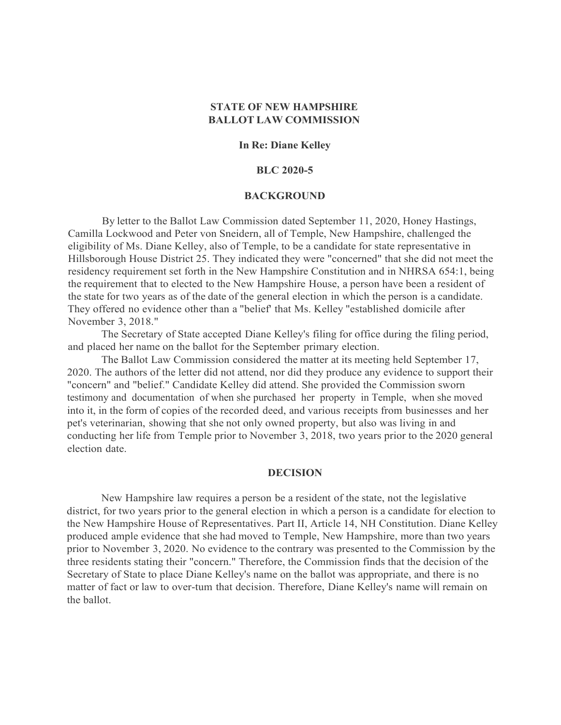# **STATE OF NEW HAMPSHIRE BALLOT LAW COMMISSION**

# **In Re: Diane Kelley**

#### **BLC 2020-5**

## **BACKGROUND**

By letter to the Ballot Law Commission dated September 11, 2020, Honey Hastings, Camilla Lockwood and Peter von Sneidern, all of Temple, New Hampshire, challenged the eligibility of Ms. Diane Kelley, also of Temple, to be a candidate for state representative in Hillsborough House District 25. They indicated they were "concerned" that she did not meet the residency requirement set forth in the New Hampshire Constitution and in NHRSA 654:1, being the requirement that to elected to the New Hampshire House, a person have been a resident of the state for two years as of the date of the general election in which the person is a candidate. They offered no evidence other than a "belief' that Ms. Kelley "established domicile after November 3, 2018."

The Secretary of State accepted Diane Kelley's filing for office during the filing period, and placed her name on the ballot for the September primary election.

The Ballot Law Commission considered the matter at its meeting held September 17, 2020. The authors of the letter did not attend, nor did they produce any evidence to support their "concern" and "belief." Candidate Kelley did attend. She provided the Commission sworn testimony and documentation of when she purchased her property in Temple, when she moved into it, in the form of copies of the recorded deed, and various receipts from businesses and her pet's veterinarian, showing that she not only owned property, but also was living in and conducting her life from Temple prior to November 3, 2018, two years prior to the 2020 general election date.

## **DECISION**

New Hampshire law requires a person be a resident of the state, not the legislative district, for two years prior to the general election in which a person is a candidate for election to the New Hampshire House of Representatives. Part II, Article 14, NH Constitution. Diane Kelley produced ample evidence that she had moved to Temple, New Hampshire, more than two years prior to November 3, 2020. No evidence to the contrary was presented to the Commission by the three residents stating their "concern." Therefore, the Commission finds that the decision of the Secretary of State to place Diane Kelley's name on the ballot was appropriate, and there is no matter of fact or law to over-tum that decision. Therefore, Diane Kelley's name will remain on the ballot.